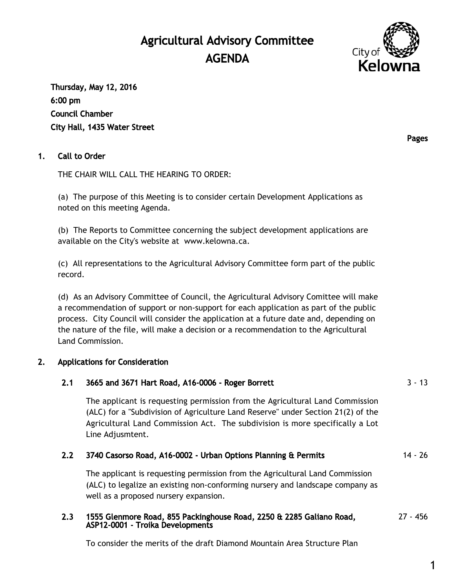# Agricultural Advisory Committee AGENDA



Thursday, May 12, 2016 6:00 pm Council Chamber City Hall, 1435 Water Street

## 1. Call to Order

THE CHAIR WILL CALL THE HEARING TO ORDER:

(a) The purpose of this Meeting is to consider certain Development Applications as noted on this meeting Agenda.

(b) The Reports to Committee concerning the subject development applications are available on the City's website at [www.kelowna.ca](http://www.kelowna.ca/).

(c) All representations to the Agricultural Advisory Committee form part of the public record.

(d) As an Advisory Committee of Council, the Agricultural Advisory Comittee will make a recommendation of support or non-support for each application as part of the public process. City Council will consider the application at a future date and, depending on the nature of the file, will make a decision or a recommendation to the Agricultural Land Commission.

## 2. Applications for Consideration

| 2.1 | 3665 and 3671 Hart Road, A16-0006 - Roger Borrett                                                                                                                                                                                                                    | $3 - 13$  |
|-----|----------------------------------------------------------------------------------------------------------------------------------------------------------------------------------------------------------------------------------------------------------------------|-----------|
|     | The applicant is requesting permission from the Agricultural Land Commission<br>(ALC) for a "Subdivision of Agriculture Land Reserve" under Section 21(2) of the<br>Agricultural Land Commission Act. The subdivision is more specifically a Lot<br>Line Adjusmtent. |           |
| 2.2 | 3740 Casorso Road, A16-0002 - Urban Options Planning & Permits                                                                                                                                                                                                       | $14 - 26$ |
|     | The applicant is requesting permission from the Agricultural Land Commission<br>(ALC) to legalize an existing non-conforming nursery and landscape company as<br>well as a proposed nursery expansion.                                                               |           |
| 2.3 | 1555 Glenmore Road, 855 Packinghouse Road, 2250 & 2285 Galiano Road,<br>ASP12-0001 - Troika Developments                                                                                                                                                             | 27 - 456  |

To consider the merits of the draft Diamond Mountain Area Structure Plan